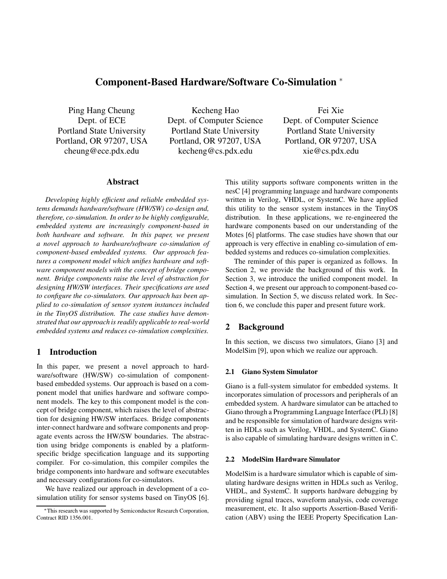# **Component-Based Hardware/Software Co-Simulation** <sup>∗</sup>

Ping Hang Cheung Dept. of ECE Portland State University Portland, OR 97207, USA cheung@ece.pdx.edu

Kecheng Hao Dept. of Computer Science Portland State University Portland, OR 97207, USA kecheng@cs.pdx.edu

Fei Xie Dept. of Computer Science Portland State University Portland, OR 97207, USA xie@cs.pdx.edu

# **Abstract**

*Developing highly efficient and reliable embedded systems demands hardware/software (HW/SW) co-design and, therefore, co-simulation. In order to be highly configurable, embedded systems are increasingly component-based in both hardware and software. In this paper, we present a novel approach to hardware/software co-simulation of component-based embedded systems. Our approach features a component model which unifies hardware and software component models with the concept of bridge component. Bridge components raise the level of abstraction for designing HW/SW interfaces. Their specifications are used to configure the co-simulators. Our approach has been applied to co-simulation of sensor system instances included in the TinyOS distribution. The case studies have demonstrated that our approach is readily applicable to real-world embedded systems and reduces co-simulation complexities.*

# **1 Introduction**

In this paper, we present a novel approach to hardware/software (HW/SW) co-simulation of componentbased embedded systems. Our approach is based on a component model that unifies hardware and software component models. The key to this component model is the concept of bridge component, which raises the level of abstraction for designing HW/SW interfaces. Bridge components inter-connect hardware and software components and propagate events across the HW/SW boundaries. The abstraction using bridge components is enabled by a platformspecific bridge specification language and its supporting compiler. For co-simulation, this compiler compiles the bridge components into hardware and software executables and necessary configurations for co-simulators.

We have realized our approach in development of a cosimulation utility for sensor systems based on TinyOS [6]. This utility supports software components written in the nesC [4] programming language and hardware components written in Verilog, VHDL, or SystemC. We have applied this utility to the sensor system instances in the TinyOS distribution. In these applications, we re-engineered the hardware components based on our understanding of the Motes [6] platforms. The case studies have shown that our approach is very effective in enabling co-simulation of embedded systems and reduces co-simulation complexities.

The reminder of this paper is organized as follows. In Section 2, we provide the background of this work. In Section 3, we introduce the unified component model. In Section 4, we present our approach to component-based cosimulation. In Section 5, we discuss related work. In Section 6, we conclude this paper and present future work.

# **2 Background**

In this section, we discuss two simulators, Giano [3] and ModelSim [9], upon which we realize our approach.

#### **2.1 Giano System Simulator**

Giano is a full-system simulator for embedded systems. It incorporates simulation of processors and peripherals of an embedded system. A hardware simulator can be attached to Giano through a Programming Language Interface (PLI) [8] and be responsible for simulation of hardware designs written in HDLs such as Verilog, VHDL, and SystemC. Giano is also capable of simulating hardware designs written in C.

#### **2.2 ModelSim Hardware Simulator**

ModelSim is a hardware simulator which is capable of simulating hardware designs written in HDLs such as Verilog, VHDL, and SystemC. It supports hardware debugging by providing signal traces, waveform analysis, code coverage measurement, etc. It also supports Assertion-Based Verification (ABV) using the IEEE Property Specification Lan-

<sup>∗</sup>This research was supported by Semiconductor Research Corporation, Contract RID 1356.001.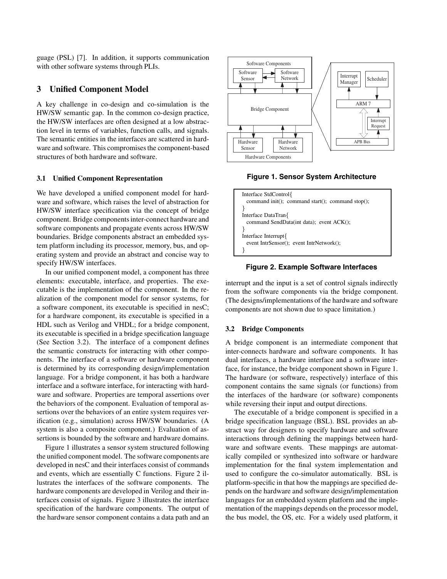guage (PSL) [7]. In addition, it supports communication with other software systems through PLIs.

# **3 Unified Component Model**

A key challenge in co-design and co-simulation is the HW/SW semantic gap. In the common co-design practice, the HW/SW interfaces are often designed at a low abstraction level in terms of variables, function calls, and signals. The semantic entities in the interfaces are scattered in hardware and software. This compromises the component-based structures of both hardware and software.

#### **3.1 Unified Component Representation**

We have developed a unified component model for hardware and software, which raises the level of abstraction for HW/SW interface specification via the concept of bridge component. Bridge components inter-connect hardware and software components and propagate events across HW/SW boundaries. Bridge components abstract an embedded system platform including its processor, memory, bus, and operating system and provide an abstract and concise way to specify HW/SW interfaces.

In our unified component model, a component has three elements: executable, interface, and properties. The executable is the implementation of the component. In the realization of the component model for sensor systems, for a software component, its executable is specified in nesC; for a hardware component, its executable is specified in a HDL such as Verilog and VHDL; for a bridge component, its executable is specified in a bridge specification language (See Section 3.2). The interface of a component defines the semantic constructs for interacting with other components. The interface of a software or hardware component is determined by its corresponding design/implementation language. For a bridge component, it has both a hardware interface and a software interface, for interacting with hardware and software. Properties are temporal assertions over the behaviors of the component. Evaluation of temporal assertions over the behaviors of an entire system requires verification (e.g., simulation) across HW/SW boundaries. (A system is also a composite component.) Evaluation of assertions is bounded by the software and hardware domains.

Figure 1 illustrates a sensor system structured following the unified component model. The software components are developed in nesC and their interfaces consist of commands and events, which are essentially C functions. Figure 2 illustrates the interfaces of the software components. The hardware components are developed in Verilog and their interfaces consist of signals. Figure 3 illustrates the interface specification of the hardware components. The output of the hardware sensor component contains a data path and an



**Figure 1. Sensor System Architecture**



### **Figure 2. Example Software Interfaces**

interrupt and the input is a set of control signals indirectly from the software components via the bridge component. (The designs/implementations of the hardware and software components are not shown due to space limitation.)

## **3.2 Bridge Components**

A bridge component is an intermediate component that inter-connects hardware and software components. It has dual interfaces, a hardware interface and a software interface, for instance, the bridge component shown in Figure 1. The hardware (or software, respectively) interface of this component contains the same signals (or functions) from the interfaces of the hardware (or software) components while reversing their input and output directions.

The executable of a bridge component is specified in a bridge specification language (BSL). BSL provides an abstract way for designers to specify hardware and software interactions through defining the mappings between hardware and software events. These mappings are automatically compiled or synthesized into software or hardware implementation for the final system implementation and used to configure the co-simulator automatically. BSL is platform-specific in that how the mappings are specified depends on the hardware and software design/implementation languages for an embedded system platform and the implementation of the mappings depends on the processor model, the bus model, the OS, etc. For a widely used platform, it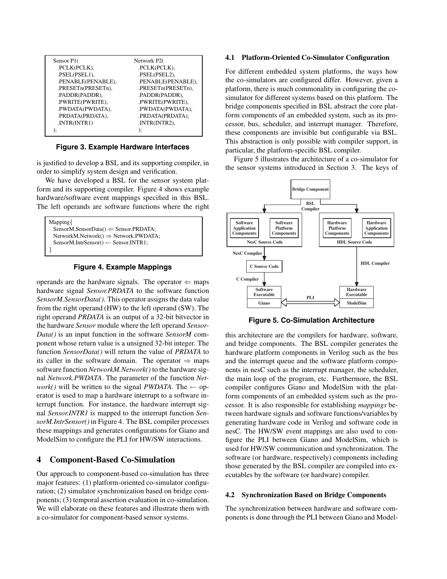| Sensor P1(         | Network P2(        |
|--------------------|--------------------|
| .PCLK(PCLK),       | .PCLK(PCLK),       |
| .PSEL(PSEL1),      | .PSEL(PSEL2),      |
| .PENABLE(PENABLE), | .PENABLE(PENABLE), |
| .PRESETn(PRESETn), | .PRESETn(PRESETn), |
| .PADDR(PADDR),     | .PADDR(PADDR),     |
| .PWRITE(PWRITE),   | .PWRITE(PWRITE),   |
| .PWDATA(PWDATA),   | .PWDATA(PWDATA),   |
| .PRDATA(PRDATA),   | PRDATA(PRDATA),    |
| INTR(INTR1)        | INTR(INTER2),      |
|                    | ):                 |

**Figure 3. Example Hardware Interfaces**

is justified to develop a BSL and its supporting compiler, in order to simplify system design and verification.

We have developed a BSL for the sensor system platform and its supporting compiler. Figure 4 shows example hardware/software event mappings specified in this BSL. The left operands are software functions where the right

Mapping{ SensorM.SensorData() ⇐ Sensor.PRDATA; NetworkM.Network() ⇒ Network.PWDATA; SensorM.IntrSensor() ← Sensor.INTR1; }

## **Figure 4. Example Mappings**

operands are the hardware signals. The operator  $\Leftarrow$  maps hardware signal *Sensor.PRDATA* to the software function *SensorM.SensorData()*. This operator assigns the data value from the right operand (HW) to the left operand (SW). The right operand *PRDATA* is an output of a 32-bit bitvector in the hardware *Sensor* module where the left operand *Sensor-Data()* is an input function in the software *SensorM* component whose return value is a unsigned 32-bit integer. The function *SensorData()* will return the value of *PRDATA* to its caller in the software domain. The operator  $\Rightarrow$  maps software function *NetworkM.Network()* to the hardware signal *Network.PWDATA*. The parameter of the function *Network()* will be written to the signal *PWDATA*. The  $\leftarrow$  operator is used to map a hardware interrupt to a software interrupt function. For instance, the hardware interrupt signal *Sensor.INTR1* is mapped to the interrupt function *SensorM.IntrSensor()* in Figure 4. The BSL compiler processes these mappings and generates configurations for Giano and ModelSim to configure the PLI for HW/SW interactions.

# **4 Component-Based Co-Simulation**

Our approach to component-based co-simulation has three major features: (1) platform-oriented co-simulator configuration; (2) simulator synchronization based on bridge components; (3) temporal assertion evaluation in co-simulation. We will elaborate on these features and illustrate them with a co-simulator for component-based sensor systems.

#### **4.1 Platform-Oriented Co-Simulator Configuration**

For different embedded system platforms, the ways how the co-simulators are configured differ. However, given a platform, there is much commonality in configuring the cosimulator for different systems based on this platform. The bridge components specified in BSL abstract the core platform components of an embedded system, such as its processor, bus, scheduler, and interrupt manager. Therefore, these components are invisible but configurable via BSL. This abstraction is only possible with compiler support, in particular, the platform-specific BSL compiler.

Figure 5 illustrates the architecture of a co-simulator for the sensor systems introduced in Section 3. The keys of



**Figure 5. Co-Simulation Architecture**

this architecture are the compilers for hardware, software, and bridge components. The BSL compiler generates the hardware platform components in Verilog such as the bus and the interrupt queue and the software platform components in nesC such as the interrupt manager, the scheduler, the main loop of the program, etc. Furthermore, the BSL compiler configures Giano and ModelSim with the platform components of an embedded system such as the processor. It is also responsible for establishing *mappings* between hardware signals and software functions/variables by generating hardware code in Verilog and software code in nesC. The HW/SW event mappings are also used to configure the PLI between Giano and ModelSim, which is used for HW/SW communication and synchronization. The software (or hardware, respectively) components including those generated by the BSL compiler are compiled into executables by the software (or hardware) compiler.

#### **4.2 Synchronization Based on Bridge Components**

The synchronization between hardware and software components is done through the PLI between Giano and Model-